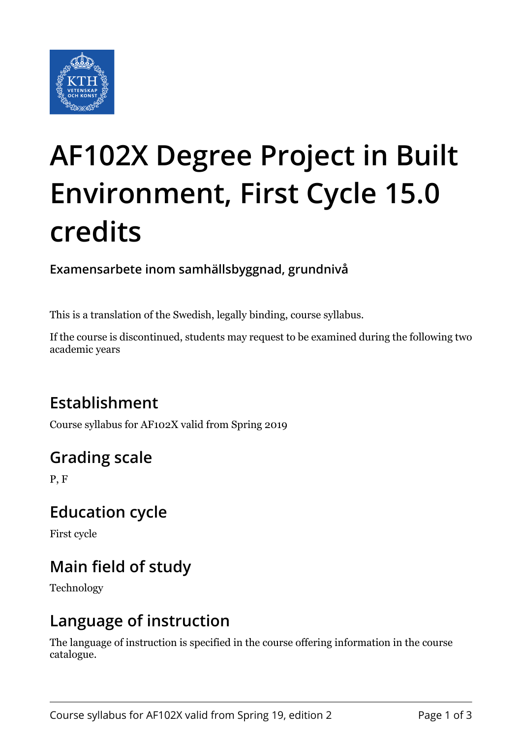

# **AF102X Degree Project in Built Environment, First Cycle 15.0 credits**

**Examensarbete inom samhällsbyggnad, grundnivå**

This is a translation of the Swedish, legally binding, course syllabus.

If the course is discontinued, students may request to be examined during the following two academic years

# **Establishment**

Course syllabus for AF102X valid from Spring 2019

# **Grading scale**

P, F

## **Education cycle**

First cycle

# **Main field of study**

Technology

## **Language of instruction**

The language of instruction is specified in the course offering information in the course catalogue.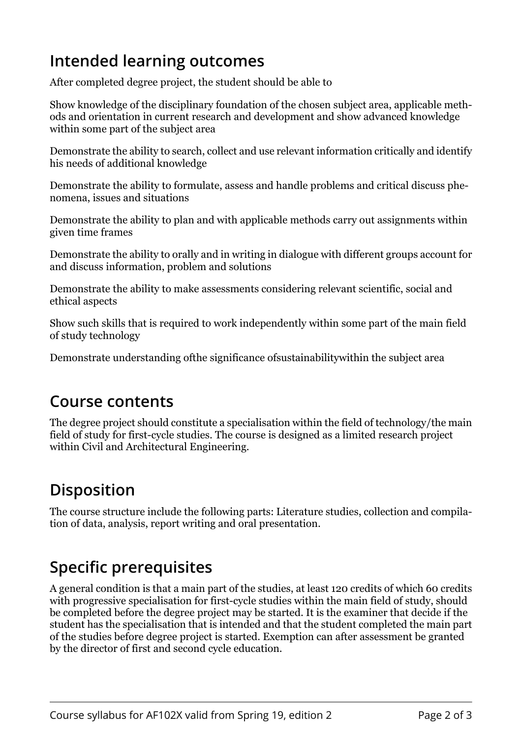## **Intended learning outcomes**

After completed degree project, the student should be able to

Show knowledge of the disciplinary foundation of the chosen subject area, applicable methods and orientation in current research and development and show advanced knowledge within some part of the subject area

Demonstrate the ability to search, collect and use relevant information critically and identify his needs of additional knowledge

Demonstrate the ability to formulate, assess and handle problems and critical discuss phenomena, issues and situations

Demonstrate the ability to plan and with applicable methods carry out assignments within given time frames

Demonstrate the ability to orally and in writing in dialogue with different groups account for and discuss information, problem and solutions

Demonstrate the ability to make assessments considering relevant scientific, social and ethical aspects

Show such skills that is required to work independently within some part of the main field of study technology

Demonstrate understanding ofthe significance ofsustainabilitywithin the subject area

#### **Course contents**

The degree project should constitute a specialisation within the field of technology/the main field of study for first-cycle studies. The course is designed as a limited research project within Civil and Architectural Engineering.

## **Disposition**

The course structure include the following parts: Literature studies, collection and compilation of data, analysis, report writing and oral presentation.

## **Specific prerequisites**

A general condition is that a main part of the studies, at least 120 credits of which 60 credits with progressive specialisation for first-cycle studies within the main field of study, should be completed before the degree project may be started. It is the examiner that decide if the student has the specialisation that is intended and that the student completed the main part of the studies before degree project is started. Exemption can after assessment be granted by the director of first and second cycle education.